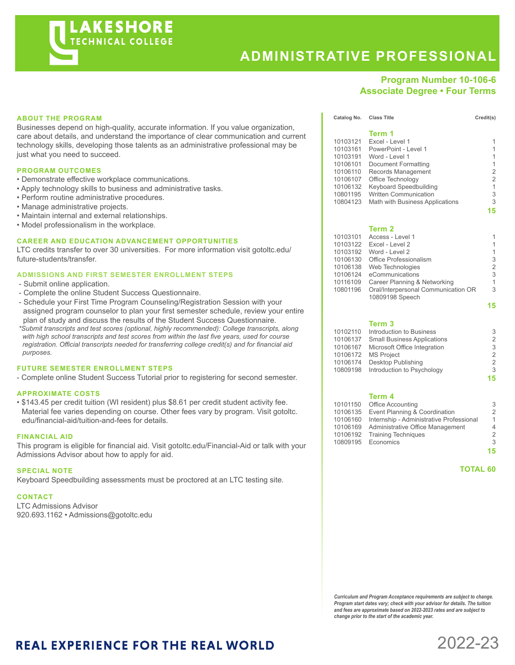

# **ADMINISTRATIVE PROFESSIONAL**

**Term 1**

# **Program Number 10-106-6 Associate Degree • Four Terms**

| <b>ABOUT THE PROGRAM</b> |
|--------------------------|
|--------------------------|

Businesses depend on high-quality, accurate information. If you value organization, care about details, and understand the importance of clear communication and current technology skills, developing those talents as an administrative professional may be just what you need to succeed.

## **PROGRAM OUTCOMES**

- Demonstrate effective workplace communications.
- Apply technology skills to business and administrative tasks.
- Perform routine administrative procedures.
- Manage administrative projects.
- Maintain internal and external relationships.
- Model professionalism in the workplace.

## **CAREER AND EDUCATION ADVANCEMENT OPPORTUNITIES**

LTC credits transfer to over 30 universities. For more information visit gotoltc.edu/ future-students/transfer.

#### **ADMISSIONS AND FIRST SEMESTER ENROLLMENT STEPS**

- Submit online application.
- Complete the online Student Success Questionnaire.
- Schedule your First Time Program Counseling/Registration Session with your assigned program counselor to plan your first semester schedule, review your entire plan of study and discuss the results of the Student Success Questionnaire.

 *\*Submit transcripts and test scores (optional, highly recommended): College transcripts, along with high school transcripts and test scores from within the last five years, used for course registration. Official transcripts needed for transferring college credit(s) and for financial aid purposes.*

# **FUTURE SEMESTER ENROLLMENT STEPS**

- Complete online Student Success Tutorial prior to registering for second semester.

## **APPROXIMATE COSTS**

• \$143.45 per credit tuition (WI resident) plus \$8.61 per credit student activity fee. Material fee varies depending on course. Other fees vary by program. Visit gotoltc. edu/financial-aid/tuition-and-fees for details.

#### **FINANCIAL AID**

This program is eligible for financial aid. Visit gotoltc.edu/Financial-Aid or talk with your Admissions Advisor about how to apply for aid.

#### **SPECIAL NOTE**

Keyboard Speedbuilding assessments must be proctored at an LTC testing site.

## **CONTACT**

LTC Admissions Advisor 920.693.1162 • Admissions@gotoltc.edu

| 10103121 | Excel - Level 1                 | 1              |
|----------|---------------------------------|----------------|
| 10103161 | PowerPoint - Level 1            | 1              |
| 10103191 | Word - Level 1                  | 1              |
| 10106101 | Document Formatting             | 1              |
| 10106110 | Records Management              | 2              |
| 10106107 | Office Technology               | $\overline{2}$ |
| 10106132 | Keyboard Speedbuilding          | 1              |
| 10801195 | <b>Written Communication</b>    | 3              |
| 10804123 | Math with Business Applications | 3              |
|          |                                 | 15             |
|          |                                 |                |
|          | Term 2                          |                |
| 10103101 | Access - Level 1                | 1              |
| 10103122 | Excel - Level 2                 | 1              |
| 10103192 | Word - Level 2                  | 1              |
| 10106130 | Office Professionalism          | 3              |
| 10106138 | Web Technologies                | 2              |
| 10106124 | eCommunications                 | 3              |
| 10116109 | Career Planning & Networking    | 1              |

10801196 Oral/Interpersonal Communication OR 3

**15**

Catalog No. Class Title Credit(s)

# **Term 3**

10809198 Speech

| 10102110 | Introduction to Business            | 3              |
|----------|-------------------------------------|----------------|
| 10106137 | <b>Small Business Applications</b>  | 2              |
| 10106167 | Microsoft Office Integration        | 3              |
|          | 10106172 MS Project                 | $\mathcal{P}$  |
| 10106174 | Desktop Publishing                  | $\overline{2}$ |
|          | 10809198 Introduction to Psychology | 3              |
|          |                                     | 15             |
|          |                                     |                |

#### **Term 4**

|          | 10101150 Office Accounting                        | 3             |
|----------|---------------------------------------------------|---------------|
|          | 10106135 Event Planning & Coordination            | 2             |
|          | 10106160 Internship - Administrative Professional | 1             |
| 10106169 | Administrative Office Management                  | 4             |
|          | 10106192 Training Techniques                      | $\mathcal{P}$ |
|          | 10809195 Economics                                | 3             |
|          |                                                   | 15            |

 **TOTAL 60**

*Curriculum and Program Acceptance requirements are subject to change. Program start dates vary; check with your advisor for details. The tuition and fees are approximate based on 2022-2023 rates and are subject to change prior to the start of the academic year.* 

# **REAL EXPERIENCE FOR THE REAL WORLD**